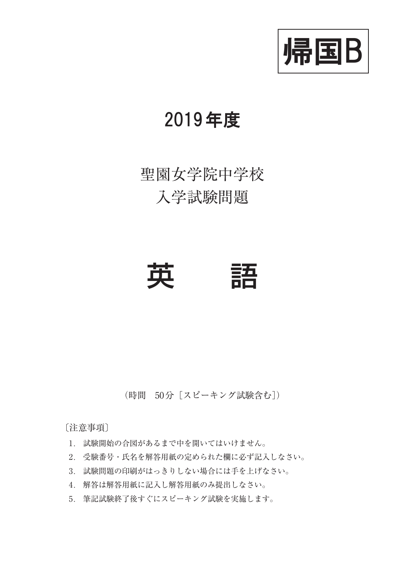

### 2019年度

## 聖園女学院中学校 入学試験問題

# 英 語

(時間 50分[スピーキング試験含む])

〔注意事項〕

- 1. 試験開始の合図があるまで中を開いてはいけません。
- 2. 受験番号・氏名を解答用紙の定められた欄に必ず記入しなさい。
- 3. 試験問題の印刷がはっきりしない場合には手を上げなさい。
- 4. 解答は解答用紙に記入し解答用紙のみ提出しなさい。
- 5. 筆記試験終了後すぐにスピーキング試験を実施します。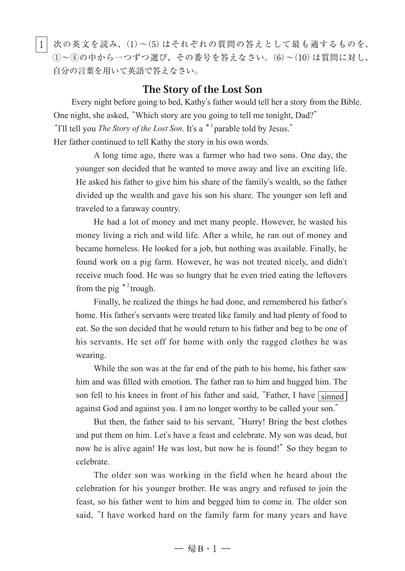|1| 次の英文を読み、(1)~(5)はそれぞれの質問の答えとして最も適するものを、  $(1)$ ~4の中から一つずつ選び、その番号を答えなさい。 $(6)$ ~ $(10)$ は質問に対し、 自分の言葉を用いて英語で答えなさい。

#### The Story of the Lost Son

Every night before going to bed, Kathy's father would tell her a story from the Bible. One night, she asked, "Which story are you going to tell me tonight, Dad?" "I'll tell you *The Story of the Lost Son*. It's a \*<sup>1</sup> parable told by Jesus." Her father continued to tell Kathy the story in his own words.

A long time ago, there was a farmer who had two sons. One day, the younger son decided that he wanted to move away and live an exciting life. He asked his father to give him his share of the family's wealth, so the father divided up the wealth and gave his son his share. The younger son left and traveled to a faraway country.

He had a lot of money and met many people. However, he wasted his money living a rich and wild life. After a while, he ran out of money and became homeless. He looked for a job, but nothing was available. Finally, he found work on a pig farm. However, he was not treated nicely, and didn't receive much food. He was so hungry that he even tried eating the leftovers from the pig  $*^{2}$  trough.

Finally, he realized the things he had done, and remembered his father's home. His father's servants were treated like family and had plenty of food to eat. So the son decided that he would return to his father and beg to be one of his servants. He set off for home with only the ragged clothes he was wearing.

While the son was at the far end of the path to his home, his father saw him and was filled with emotion. The father ran to him and hugged him. The son fell to his knees in front of his father and said, "Father, I have  $\boxed{\text{simed}}$ against God and against you. I am no longer worthy to be called your son."

But then, the father said to his servant, "Hurry! Bring the best clothes and put them on him. Let's have a feast and celebrate. My son was dead, but now he is alive again! He was lost, but now he is found!" So they began to celebrate.

The older son was working in the field when he heard about the celebration for his younger brother. He was angry and refused to join the feast, so his father went to him and begged him to come in. The older son said, "I have worked hard on the family farm for many years and have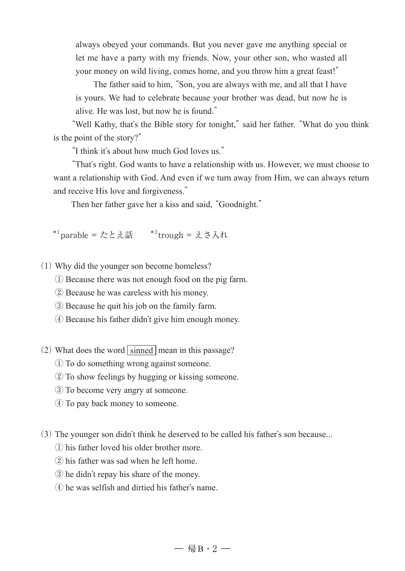always obeyed your commands. But you never gave me anything special or let me have a party with my friends. Now, your other son, who wasted all your money on wild living, comes home, and you throw him a great feast!"

The father said to him, "Son, you are always with me, and all that I have is yours. We had to celebrate because your brother was dead, but now he is alive. He was lost, but now he is found."

"Well Kathy, that's the Bible story for tonight," said her father. "What do you think is the point of the story?"

"I think it's about how much God loves us."

"That's right. God wants to have a relationship with us. However, we must choose to want a relationship with God. And even if we turn away from Him, we can always return and receive His love and forgiveness."

Then her father gave her a kiss and said, "Goodnight."

\*<sup>1</sup> parable = たとえ話 \*<sup>2</sup> trough = えさ入れ

(1) Why did the younger son become homeless?

- ① Because there was not enough food on the pig farm.
- ② Because he was careless with his money.
- ③ Because he quit his job on the family farm.
- ④ Because his father didn't give him enough money.
- (2) What does the word  $\boxed{\text{simed}}$  mean in this passage?
	- ① To do something wrong against someone.
	- ② To show feelings by hugging or kissing someone.
	- ③ To become very angry at someone.
	- ④ To pay back money to someone.

(3) The younger son didn't think he deserved to be called his father's son because...

- ① his father loved his older brother more.
- ② his father was sad when he left home.
- ③ he didn't repay his share of the money.
- ④ he was selfish and dirtied his father's name.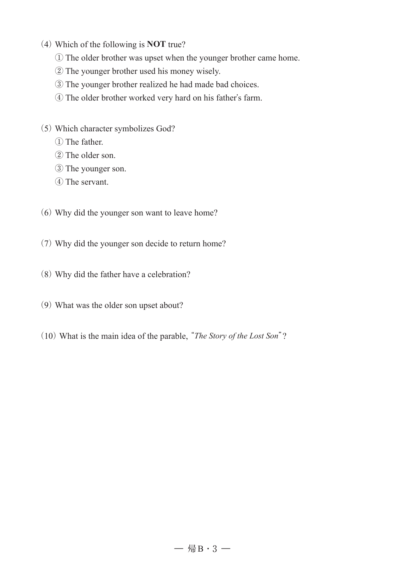- (4) Which of the following is **NOT** true?
	- ① The older brother was upset when the younger brother came home.
	- ② The younger brother used his money wisely.
	- ③ The younger brother realized he had made bad choices.
	- ④ The older brother worked very hard on his father's farm.
- (5) Which character symbolizes God?
	- ① The father.
	- ② The older son.
	- ③ The younger son.
	- ④ The servant.
- (6) Why did the younger son want to leave home?
- (7) Why did the younger son decide to return home?
- (8) Why did the father have a celebration?
- (9) What was the older son upset about?
- (10) What is the main idea of the parable, "*The Story of the Lost Son*"?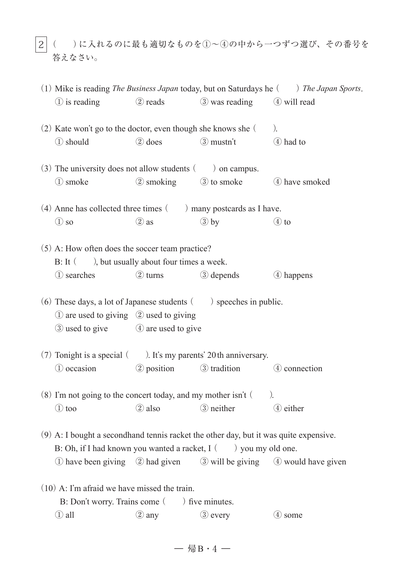|2|( )に入れるのに最も適切なものを⑴~④の中から一つずつ選び、その番号を 答えなさい。

| (1) Mike is reading The Business Japan today, but on Saturdays he $($ ) The Japan Sports.                                                                   |                                                     |                                   |                                   |                                                                     |  |
|-------------------------------------------------------------------------------------------------------------------------------------------------------------|-----------------------------------------------------|-----------------------------------|-----------------------------------|---------------------------------------------------------------------|--|
|                                                                                                                                                             | 1 is reading                                        | 2 reads                           | 3 was reading 4 will read         |                                                                     |  |
| (2) Kate won't go to the doctor, even though she knows she (<br>).                                                                                          |                                                     |                                   |                                   |                                                                     |  |
| 1 should                                                                                                                                                    |                                                     | 2 does                            | 3 mustn't                         | 4 had to                                                            |  |
| $(3)$ The university does not allow students $($ ) on campus.                                                                                               |                                                     |                                   |                                   |                                                                     |  |
| 1 smoke                                                                                                                                                     |                                                     | 2 smoking                         | <b>3</b> to smoke                 | 4 have smoked                                                       |  |
| $(4)$ Anne has collected three times $($ ) many postcards as I have.                                                                                        |                                                     |                                   |                                   |                                                                     |  |
| $\circled{1}$ so                                                                                                                                            |                                                     | $(2)$ as                          | $\circled{3}$ by                  | $\circled{4}$ to                                                    |  |
| (5) A: How often does the soccer team practice?<br>B: It (), but usually about four times a week.                                                           |                                                     |                                   |                                   |                                                                     |  |
|                                                                                                                                                             |                                                     |                                   |                                   |                                                                     |  |
|                                                                                                                                                             | 1 searches                                          | 2 turns                           | <b>3</b> depends                  | 4 happens                                                           |  |
| $(6)$ These days, a lot of Japanese students $($ ) speeches in public.                                                                                      |                                                     |                                   |                                   |                                                                     |  |
|                                                                                                                                                             | $\Omega$ are used to giving $\Omega$ used to giving |                                   |                                   |                                                                     |  |
|                                                                                                                                                             |                                                     | 3 used to give 4 are used to give |                                   |                                                                     |  |
| $(7)$ Tonight is a special $($ ). It's my parents' 20th anniversary.                                                                                        |                                                     |                                   |                                   |                                                                     |  |
|                                                                                                                                                             |                                                     |                                   | 1 occasion 2 position 3 tradition | 4 connection                                                        |  |
| $(8)$ I'm not going to the concert today, and my mother isn't $($<br>$\lambda$                                                                              |                                                     |                                   |                                   |                                                                     |  |
| $\circled{1}$ too                                                                                                                                           |                                                     | $(2)$ also                        | <b>3</b> neither                  | 4 either                                                            |  |
| (9) A: I bought a secondhand tennis racket the other day, but it was quite expensive.<br>B: Oh, if I had known you wanted a racket, $I(\ )$ you my old one. |                                                     |                                   |                                   |                                                                     |  |
|                                                                                                                                                             |                                                     |                                   |                                   | 1) have been giving 2 had given 3 will be giving 4 would have given |  |
| $(10)$ A: I'm afraid we have missed the train.                                                                                                              |                                                     |                                   |                                   |                                                                     |  |
| B: Don't worry. Trains come (<br>) five minutes.                                                                                                            |                                                     |                                   |                                   |                                                                     |  |
| ① all                                                                                                                                                       |                                                     | ② any                             | <b>3</b> every                    | 4 some                                                              |  |

 $-$  帰B · 4  $-$